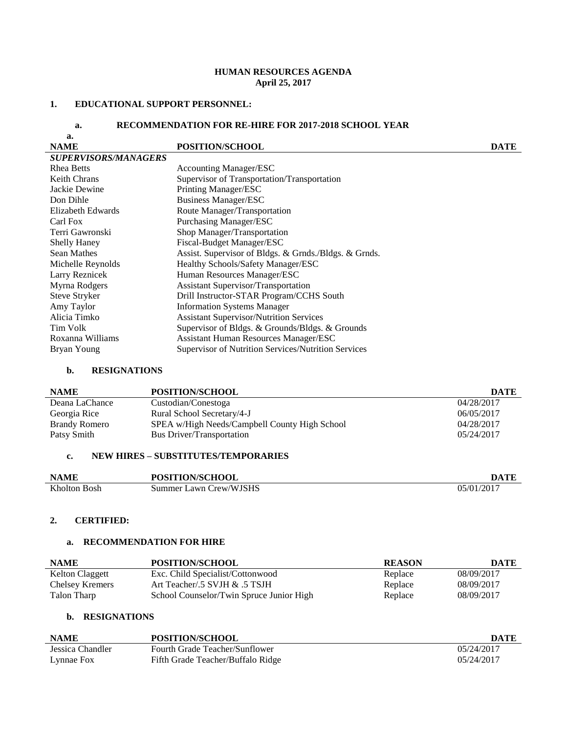# **HUMAN RESOURCES AGENDA April 25, 2017**

#### **1. EDUCATIONAL SUPPORT PERSONNEL:**

### **a. RECOMMENDATION FOR RE-HIRE FOR 2017-2018 SCHOOL YEAR**

| a.                          |                                                       |             |
|-----------------------------|-------------------------------------------------------|-------------|
| <b>NAME</b>                 | <b>POSITION/SCHOOL</b>                                | <b>DATE</b> |
| <b>SUPERVISORS/MANAGERS</b> |                                                       |             |
| <b>Rhea Betts</b>           | <b>Accounting Manager/ESC</b>                         |             |
| <b>Keith Chrans</b>         | Supervisor of Transportation/Transportation           |             |
| Jackie Dewine               | Printing Manager/ESC                                  |             |
| Don Dihle                   | <b>Business Manager/ESC</b>                           |             |
| Elizabeth Edwards           | Route Manager/Transportation                          |             |
| Carl Fox                    | <b>Purchasing Manager/ESC</b>                         |             |
| Terri Gawronski             | Shop Manager/Transportation                           |             |
| <b>Shelly Haney</b>         | Fiscal-Budget Manager/ESC                             |             |
| <b>Sean Mathes</b>          | Assist. Supervisor of Bldgs. & Grnds./Bldgs. & Grnds. |             |
| Michelle Reynolds           | Healthy Schools/Safety Manager/ESC                    |             |
| Larry Reznicek              | Human Resources Manager/ESC                           |             |
| Myrna Rodgers               | <b>Assistant Supervisor/Transportation</b>            |             |
| Steve Stryker               | Drill Instructor-STAR Program/CCHS South              |             |
| Amy Taylor                  | <b>Information Systems Manager</b>                    |             |
| Alicia Timko                | <b>Assistant Supervisor/Nutrition Services</b>        |             |
| Tim Volk                    | Supervisor of Bldgs. & Grounds/Bldgs. & Grounds       |             |
| Roxanna Williams            | <b>Assistant Human Resources Manager/ESC</b>          |             |
| Bryan Young                 | Supervisor of Nutrition Services/Nutrition Services   |             |

#### **b. RESIGNATIONS**

| <b>NAME</b>          | POSITION/SCHOOL                               | <b>DATE</b> |
|----------------------|-----------------------------------------------|-------------|
| Deana LaChance       | Custodian/Conestoga                           | 04/28/2017  |
| Georgia Rice         | Rural School Secretary/4-J                    | 06/05/2017  |
| <b>Brandy Romero</b> | SPEA w/High Needs/Campbell County High School | 04/28/2017  |
| Patsy Smith          | <b>Bus Driver/Transportation</b>              | 05/24/2017  |
|                      |                                               |             |

## **c. NEW HIRES – SUBSTITUTES/TEMPORARIES**

| <b>NAME</b>  | POSITION/SCHOOL        | DATE       |
|--------------|------------------------|------------|
| Kholton Bosh | Summer Lawn Crew/WJSHS | 05/01/2017 |

### **2. CERTIFIED:**

# **a. RECOMMENDATION FOR HIRE**

| <b>NAME</b>     | POSITION/SCHOOL                          | <b>REASON</b> | <b>DATE</b> |
|-----------------|------------------------------------------|---------------|-------------|
| Kelton Claggett | Exc. Child Specialist/Cottonwood         | Replace       | 08/09/2017  |
| Chelsey Kremers | Art Teacher/.5 SVJH & .5 TSJH            | Replace       | 08/09/2017  |
| Talon Tharp     | School Counselor/Twin Spruce Junior High | Replace       | 08/09/2017  |

### **b. RESIGNATIONS**

| <b>NAME</b>      | POSITION/SCHOOL                   | DATE       |
|------------------|-----------------------------------|------------|
| Jessica Chandler | Fourth Grade Teacher/Sunflower    | 05/24/2017 |
| Lynnae Fox       | Fifth Grade Teacher/Buffalo Ridge | 05/24/2017 |